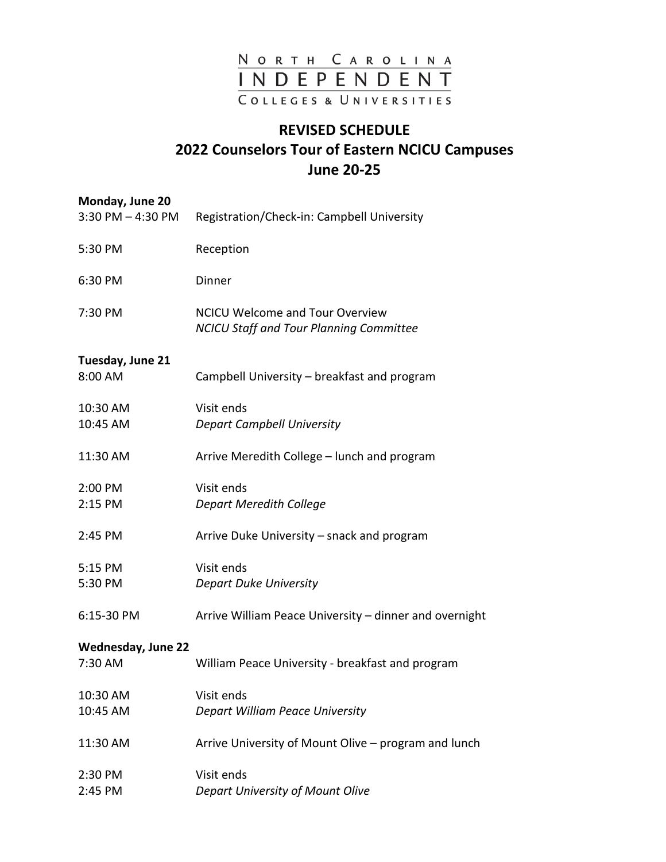

## **REVISED SCHEDULE 2022 Counselors Tour of Eastern NCICU Campuses June 20-25**

| Monday, June 20<br>$3:30$ PM $-$ 4:30 PM | Registration/Check-in: Campbell University                                               |
|------------------------------------------|------------------------------------------------------------------------------------------|
| 5:30 PM                                  | Reception                                                                                |
| 6:30 PM                                  | Dinner                                                                                   |
| 7:30 PM                                  | <b>NCICU Welcome and Tour Overview</b><br><b>NCICU Staff and Tour Planning Committee</b> |
| Tuesday, June 21<br>8:00 AM              | Campbell University – breakfast and program                                              |
|                                          |                                                                                          |
| 10:30 AM<br>10:45 AM                     | Visit ends                                                                               |
|                                          | <b>Depart Campbell University</b>                                                        |
| 11:30 AM                                 | Arrive Meredith College - lunch and program                                              |
| 2:00 PM                                  | Visit ends                                                                               |
| 2:15 PM                                  | <b>Depart Meredith College</b>                                                           |
| 2:45 PM                                  | Arrive Duke University – snack and program                                               |
| 5:15 PM                                  | Visit ends                                                                               |
| 5:30 PM                                  | <b>Depart Duke University</b>                                                            |
| 6:15-30 PM                               | Arrive William Peace University – dinner and overnight                                   |
| <b>Wednesday, June 22</b>                |                                                                                          |
| 7:30 AM                                  | William Peace University - breakfast and program                                         |
| 10:30 AM                                 | Visit ends                                                                               |
| 10:45 AM                                 | Depart William Peace University                                                          |
| 11:30 AM                                 | Arrive University of Mount Olive - program and lunch                                     |
| 2:30 PM                                  | Visit ends                                                                               |
| 2:45 PM                                  | Depart University of Mount Olive                                                         |